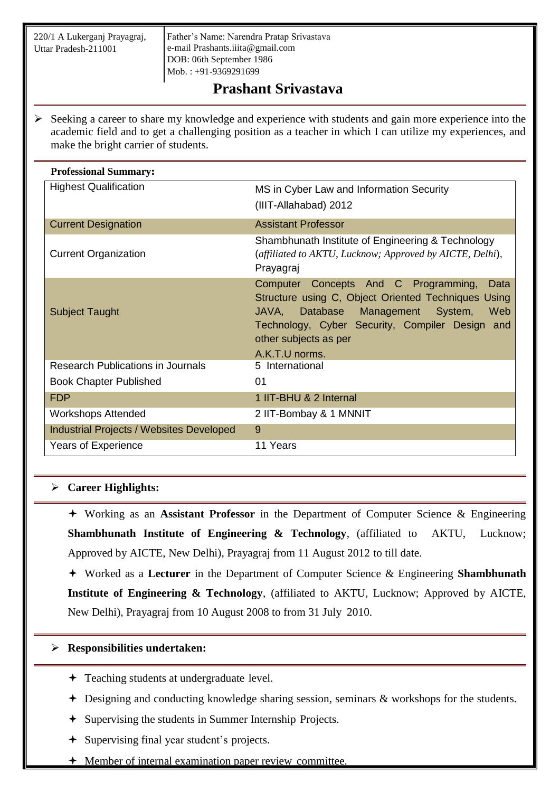220/1 A Lukerganj Prayagraj, Uttar Pradesh-211001

Father's Name: Narendra Pratap Srivastava e-mail [Prashants.iiita@gmail.com](mailto:Prashants.iiita@gmail.com) DOB: 06th September 1986 Mob. : +91-9369291699

# **Prashant Srivastava**

 $\triangleright$  Seeking a career to share my knowledge and experience with students and gain more experience into the academic field and to get a challenging position as a teacher in which I can utilize my experiences, and make the bright carrier of students.

| <b>Professional Summary:</b>                    |                                                                                                                                                                                                                                                  |
|-------------------------------------------------|--------------------------------------------------------------------------------------------------------------------------------------------------------------------------------------------------------------------------------------------------|
| <b>Highest Qualification</b>                    | MS in Cyber Law and Information Security                                                                                                                                                                                                         |
|                                                 | (IIIT-Allahabad) 2012                                                                                                                                                                                                                            |
| <b>Current Designation</b>                      | <b>Assistant Professor</b>                                                                                                                                                                                                                       |
| <b>Current Organization</b>                     | Shambhunath Institute of Engineering & Technology<br>(affiliated to AKTU, Lucknow; Approved by AICTE, Delhi),<br>Prayagraj                                                                                                                       |
| <b>Subject Taught</b>                           | Computer Concepts And C Programming,<br>Data<br>Structure using C, Object Oriented Techniques Using<br>JAVA, Database<br>Management System,<br>Web<br>Technology, Cyber Security, Compiler Design and<br>other subjects as per<br>A.K.T.U norms. |
| Research Publications in Journals               | 5 International                                                                                                                                                                                                                                  |
| <b>Book Chapter Published</b>                   | 01                                                                                                                                                                                                                                               |
| <b>FDP</b>                                      | 1 IIT-BHU & 2 Internal                                                                                                                                                                                                                           |
| <b>Workshops Attended</b>                       | 2 IIT-Bombay & 1 MNNIT                                                                                                                                                                                                                           |
| <b>Industrial Projects / Websites Developed</b> | 9                                                                                                                                                                                                                                                |
| <b>Years of Experience</b>                      | 11 Years                                                                                                                                                                                                                                         |

## **Career Highlights:**

 Working as an **Assistant Professor** in the Department of Computer Science & Engineering **Shambhunath Institute of Engineering & Technology**, (affiliated to AKTU, Lucknow; Approved by AICTE, New Delhi), Prayagraj from 11 August 2012 to till date.

 Worked as a **Lecturer** in the Department of Computer Science & Engineering **Shambhunath Institute of Engineering & Technology**, (affiliated to AKTU, Lucknow; Approved by AICTE, New Delhi), Prayagraj from 10 August 2008 to from 31 July 2010.

## **Responsibilities undertaken:**

- **←** Teaching students at undergraduate level.
- Designing and conducting knowledge sharing session, seminars & workshops for the students.
- Supervising the students in Summer Internship Projects.
- Supervising final year student's projects.
- Member of internal examination paper review committee.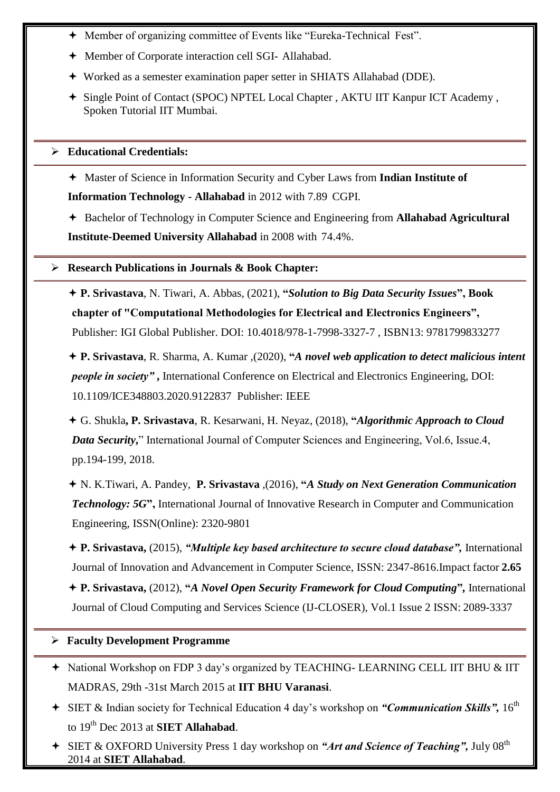- Member of organizing committee of Events like "Eureka-Technical Fest".
- Member of Corporate interaction cell SGI- Allahabad.
- Worked as a semester examination paper setter in SHIATS Allahabad (DDE).
- Single Point of Contact (SPOC) NPTEL Local Chapter , AKTU IIT Kanpur ICT Academy , Spoken Tutorial IIT Mumbai.

### **Educational Credentials:**

 Master of Science in Information Security and Cyber Laws from **Indian Institute of Information Technology - Allahabad** in 2012 with 7.89 CGPI.

 Bachelor of Technology in Computer Science and Engineering from **Allahabad Agricultural Institute-Deemed University Allahabad** in 2008 with 74.4%.

#### **Research Publications in Journals & Book Chapter:**

 **P. Srivastava**, N. Tiwari, A. Abbas, (2021), **"***Solution to Big Data Security Issues***", Book chapter of "Computational Methodologies for Electrical and Electronics Engineers",**  Publisher: IGI Global Publisher. DOI: 10.4018/978-1-7998-3327-7 , ISBN13: 9781799833277

 **P. Srivastava**, R. Sharma, A. Kumar ,(2020), **"***A novel web application to detect malicious intent people in society"* **,** International Conference on Electrical and Electronics Engineering, DOI: 10.1109/ICE348803.2020.9122837 Publisher: IEEE

 G. Shukla**, P. Srivastava**, R. Kesarwani, H. Neyaz, (2018), **"***Algorithmic Approach to Cloud Data Security***,**" International Journal of Computer Sciences and Engineering, Vol.6, Issue.4, pp.194-199, 2018.

 N. K.Tiwari, A. Pandey, **P. Srivastava** ,(2016), **"***A Study on Next Generation Communication Technology: 5G*, International Journal of Innovative Research in Computer and Communication Engineering, ISSN(Online): 2320-9801

 **P. Srivastava,** (2015), *"Multiple key based architecture to secure cloud database",* International Journal of Innovation and Advancement in Computer Science, ISSN: 2347-8616.Impact factor **2.65**

 **P. Srivastava,** (2012), **"***A Novel Open Security Framework for Cloud Computing***"***,* International Journal of Cloud Computing and Services Science (IJ-CLOSER), Vol.1 Issue 2 ISSN: 2089-3337

## **Faculty Development Programme**

- National Workshop on FDP 3 day's organized by TEACHING- LEARNING CELL IIT BHU & IIT MADRAS, 29th -31st March 2015 at **IIT BHU Varanasi**.
- + SIET & Indian society for Technical Education 4 day's workshop on "Communication Skills", 16<sup>th</sup> to 19th Dec 2013 at **SIET Allahabad**.
- + SIET & OXFORD University Press 1 day workshop on "Art and Science of Teaching", July 08<sup>th</sup> 2014 at **SIET Allahabad**.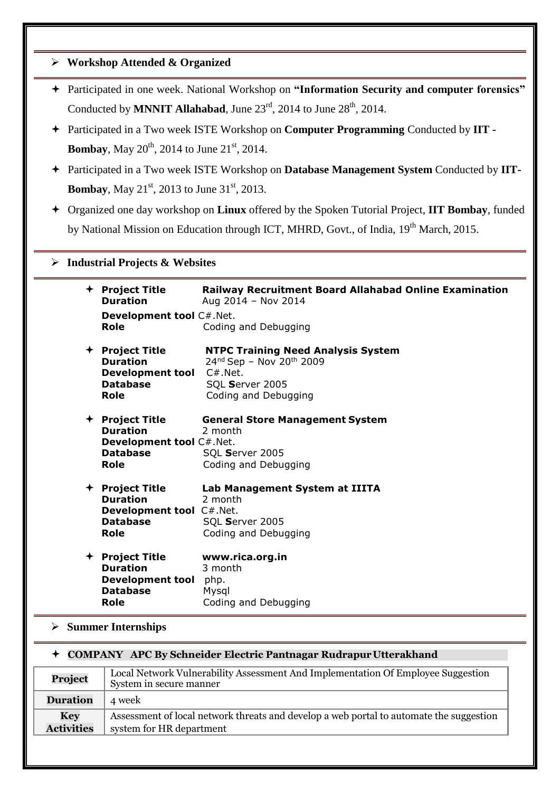|                                                                                                    | $\triangleright$ Workshop Attended & Organized                                                                      |                                                                                                                                                                                         |  |
|----------------------------------------------------------------------------------------------------|---------------------------------------------------------------------------------------------------------------------|-----------------------------------------------------------------------------------------------------------------------------------------------------------------------------------------|--|
|                                                                                                    |                                                                                                                     | + Participated in one week. National Workshop on "Information Security and computer forensics"<br>Conducted by <b>MNNIT Allahabad</b> , June $23^{rd}$ , 2014 to June $28^{th}$ , 2014. |  |
|                                                                                                    | Participated in a Two week ISTE Workshop on Computer Programming Conducted by IIT -                                 |                                                                                                                                                                                         |  |
| <b>Bombay,</b> May $20^{th}$ , 2014 to June $21^{st}$ , 2014.                                      |                                                                                                                     |                                                                                                                                                                                         |  |
| + Participated in a Two week ISTE Workshop on Database Management System Conducted by IIT-         |                                                                                                                     |                                                                                                                                                                                         |  |
| <b>Bombay</b> , May 21 <sup>st</sup> , 2013 to June 31 <sup>st</sup> , 2013.                       |                                                                                                                     |                                                                                                                                                                                         |  |
| Organized one day workshop on Linux offered by the Spoken Tutorial Project, IIT Bombay, funded     |                                                                                                                     |                                                                                                                                                                                         |  |
| by National Mission on Education through ICT, MHRD, Govt., of India, 19 <sup>th</sup> March, 2015. |                                                                                                                     |                                                                                                                                                                                         |  |
|                                                                                                    |                                                                                                                     |                                                                                                                                                                                         |  |
| <b>Industrial Projects &amp; Websites</b><br>➤                                                     |                                                                                                                     |                                                                                                                                                                                         |  |
|                                                                                                    | + Project Title<br><b>Duration</b>                                                                                  | <b>Railway Recruitment Board Allahabad Online Examination</b><br>Aug 2014 - Nov 2014                                                                                                    |  |
|                                                                                                    | Development tool C#.Net.<br>Role                                                                                    | Coding and Debugging                                                                                                                                                                    |  |
|                                                                                                    | + Project Title<br><b>Duration</b><br><b>Development tool</b><br><b>Database</b><br><b>Role</b>                     | <b>NTPC Training Need Analysis System</b><br>24nd Sep - Nov 20th 2009<br>$C#$ . Net.<br>SQL Server 2005<br>Coding and Debugging                                                         |  |
|                                                                                                    | + Project Title<br><b>Duration</b><br>Development tool C#.Net.<br><b>Database</b><br>Role                           | <b>General Store Management System</b><br>2 month<br>SQL Server 2005<br>Coding and Debugging                                                                                            |  |
|                                                                                                    | <b>Project Title</b><br><b>Duration</b><br>Development tool C#.Net.<br><b>Database</b><br><b>Role</b>               | Lab Management System at IIITA<br>2 month<br>SQL Server 2005<br>Coding and Debugging                                                                                                    |  |
|                                                                                                    | + Project Title<br><b>Duration</b><br><b>Development tool</b><br><b>Database</b><br><b>Role</b>                     | www.rica.org.in<br>3 month<br>php.<br>Mysql<br>Coding and Debugging                                                                                                                     |  |
| $\triangleright$ Summer Internships                                                                |                                                                                                                     |                                                                                                                                                                                         |  |
| <b>COMPANY APC By Schneider Electric Pantnagar Rudrapur Utterakhand</b>                            |                                                                                                                     |                                                                                                                                                                                         |  |
| Project                                                                                            | Local Network Vulnerability Assessment And Implementation Of Employee Suggestion<br>System in secure manner         |                                                                                                                                                                                         |  |
| <b>Duration</b>                                                                                    | 4 week                                                                                                              |                                                                                                                                                                                         |  |
| <b>Key</b><br><b>Activities</b>                                                                    | Assessment of local network threats and develop a web portal to automate the suggestion<br>system for HR department |                                                                                                                                                                                         |  |
|                                                                                                    |                                                                                                                     |                                                                                                                                                                                         |  |